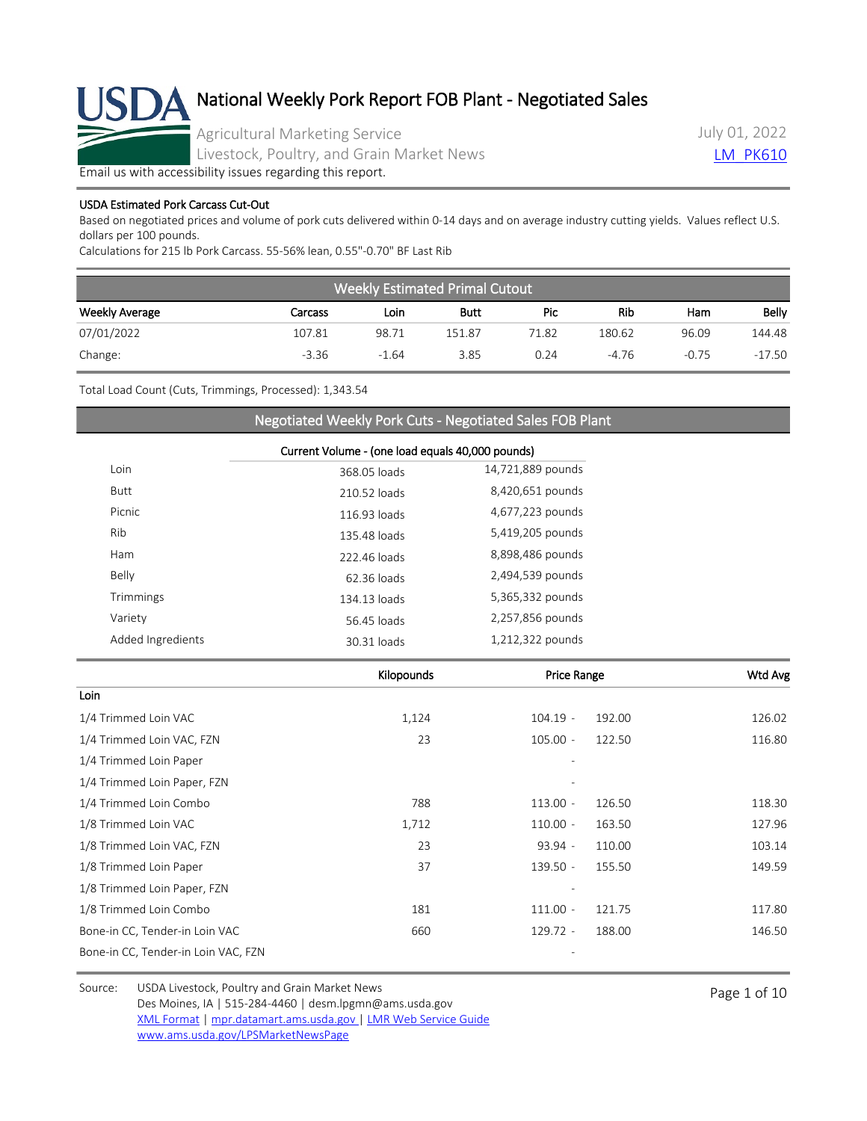

Agricultural Marketing Service

Livestock, Poultry, and Grain Market News

July 01, 2022 **LM PK610** 

[Email us with accessibility issues regarding this report.](mailto:mpr.lpgmn@ams.usda.gov?subject=508%20Issue)

### USDA Estimated Pork Carcass Cut-Out

Based on negotiated prices and volume of pork cuts delivered within 0-14 days and on average industry cutting yields. Values reflect U.S. dollars per 100 pounds.

Calculations for 215 lb Pork Carcass. 55-56% lean, 0.55"-0.70" BF Last Rib

| <b>Weekly Estimated Primal Cutout</b> |         |         |             |       |         |         |          |
|---------------------------------------|---------|---------|-------------|-------|---------|---------|----------|
| <b>Weekly Average</b>                 | Carcass | Loin    | <b>Butt</b> | Pic   | Rib     | Ham     | Belly    |
| 07/01/2022                            | 107.81  | 98.71   | 151.87      | 71.82 | 180.62  | 96.09   | 144.48   |
| Change:                               | $-3.36$ | $-1.64$ | 3.85        | 0.24  | $-4.76$ | $-0.75$ | $-17.50$ |

Total Load Count (Cuts, Trimmings, Processed): 1,343.54

### Negotiated Weekly Pork Cuts - Negotiated Sales FOB Plant

|                   | Current Volume - (one load equals 40,000 pounds) |                   |  |  |
|-------------------|--------------------------------------------------|-------------------|--|--|
| Loin              | 368.05 loads                                     | 14,721,889 pounds |  |  |
| <b>Butt</b>       | 210.52 loads                                     | 8,420,651 pounds  |  |  |
| Picnic            | 116.93 loads                                     | 4,677,223 pounds  |  |  |
| Rib               | 135.48 loads                                     | 5,419,205 pounds  |  |  |
| Ham               | 222.46 loads                                     | 8,898,486 pounds  |  |  |
| Belly             | 62.36 loads                                      | 2,494,539 pounds  |  |  |
| Trimmings         | 134.13 loads                                     | 5,365,332 pounds  |  |  |
| Variety           | 56.45 loads                                      | 2,257,856 pounds  |  |  |
| Added Ingredients | 30.31 loads                                      | 1,212,322 pounds  |  |  |
|                   |                                                  |                   |  |  |

|                                     | Kilopounds | <b>Price Range</b> |        | Wtd Avg |
|-------------------------------------|------------|--------------------|--------|---------|
| Loin                                |            |                    |        |         |
| 1/4 Trimmed Loin VAC                | 1,124      | $104.19 -$         | 192.00 | 126.02  |
| 1/4 Trimmed Loin VAC, FZN           | 23         | $105.00 -$         | 122.50 | 116.80  |
| 1/4 Trimmed Loin Paper              |            |                    |        |         |
| 1/4 Trimmed Loin Paper, FZN         |            |                    |        |         |
| 1/4 Trimmed Loin Combo              | 788        | $113.00 -$         | 126.50 | 118.30  |
| 1/8 Trimmed Loin VAC                | 1,712      | $110.00 -$         | 163.50 | 127.96  |
| 1/8 Trimmed Loin VAC, FZN           | 23         | $93.94 -$          | 110.00 | 103.14  |
| 1/8 Trimmed Loin Paper              | 37         | $139.50 -$         | 155.50 | 149.59  |
| 1/8 Trimmed Loin Paper, FZN         |            |                    |        |         |
| 1/8 Trimmed Loin Combo              | 181        | $111.00 -$         | 121.75 | 117.80  |
| Bone-in CC, Tender-in Loin VAC      | 660        | $129.72 -$         | 188.00 | 146.50  |
| Bone-in CC, Tender-in Loin VAC, FZN |            |                    |        |         |

Source: USDA Livestock, Poultry and Grain Market News<br>
Page 1 of 10 Des Moines, IA | 515-284-4460 | desm.lpgmn@ams.usda.gov [XML Format](https://mpr.datamart.ams.usda.gov/ws/report/v1/pork/LM_PK610?filter=%7B%22filters%22:%5B%7B%22fieldName%22:%22Report%20date%22,%22operatorType%22:%22EQUAL%22,%22values%22:%5B%227/1/2022%22%5D%7D%5D%7D) | [mpr.datamart.ams.usda.gov](https://mpr.datamart.ams.usda.gov/) | [LMR Web Service Guide](https://www.marketnews.usda.gov/mnp/assets/ls/USDA-LMR-WebService-Client-User-Guide-v1_prod.pdf) [www.ams.usda.gov/LPSMarketNewsPage](https://www.ams.usda.gov/LPSMarketNewsPage)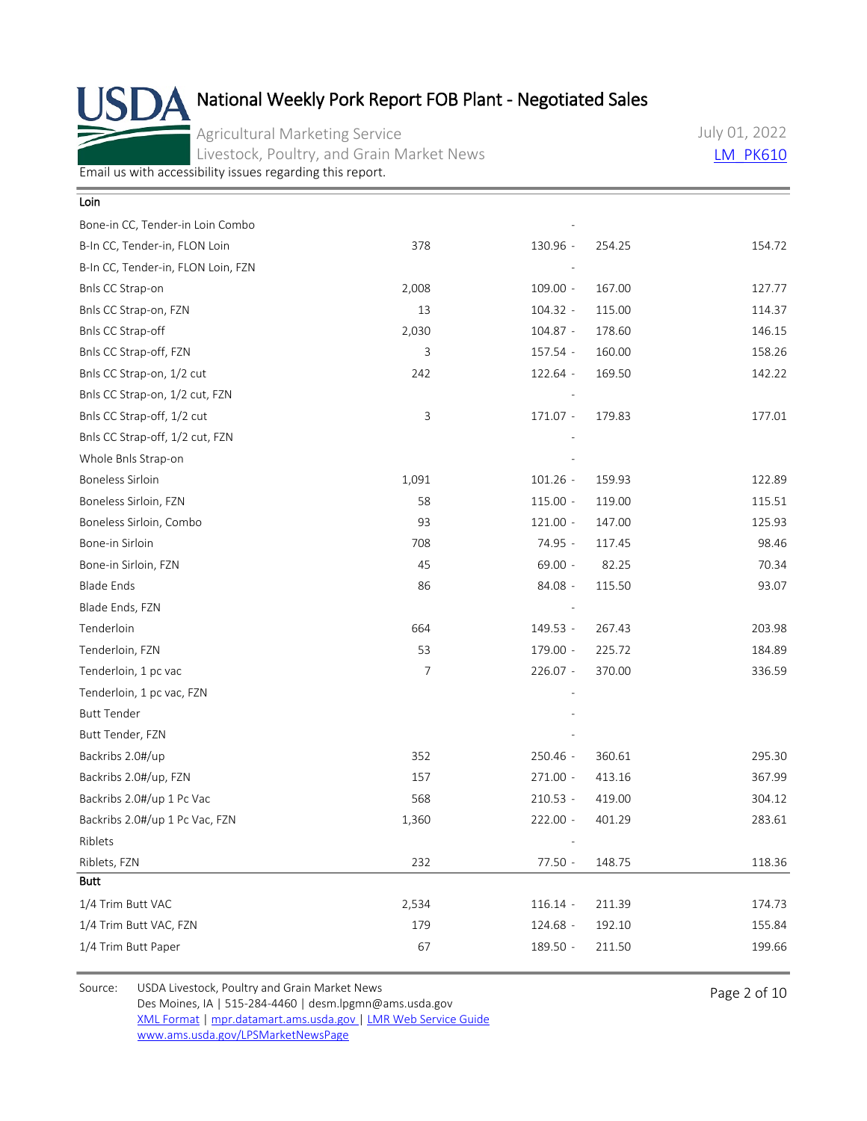Agricultural Marketing Service Livestock, Poultry, and Grain Market News July 01, 2022 **[LM\\_PK610](https://mpr.datamart.ams.usda.gov/ws/report/v1/pork/LM_PK610?filter=%7B%22filters%22:%5B%7B%22fieldName%22:%22Report%20date%22,%22operatorType%22:%22EQUAL%22,%22values%22:%5B%227/1/2022%22%5D%7D%5D%7D)** 

[Email us with accessibility issues regarding this report.](mailto:mpr.lpgmn@ams.usda.gov?subject=508%20Issue)

| Loin                               |       |            |        |        |
|------------------------------------|-------|------------|--------|--------|
| Bone-in CC, Tender-in Loin Combo   |       |            |        |        |
| B-In CC, Tender-in, FLON Loin      | 378   | 130.96 -   | 254.25 | 154.72 |
| B-In CC, Tender-in, FLON Loin, FZN |       |            |        |        |
| Bnls CC Strap-on                   | 2,008 | $109.00 -$ | 167.00 | 127.77 |
| Bnls CC Strap-on, FZN              | 13    | $104.32 -$ | 115.00 | 114.37 |
| Bnls CC Strap-off                  | 2,030 | 104.87 -   | 178.60 | 146.15 |
| Bnls CC Strap-off, FZN             | 3     | 157.54 -   | 160.00 | 158.26 |
| Bnls CC Strap-on, 1/2 cut          | 242   | 122.64 -   | 169.50 | 142.22 |
| Bnls CC Strap-on, 1/2 cut, FZN     |       |            |        |        |
| Bnls CC Strap-off, 1/2 cut         | 3     | 171.07 -   | 179.83 | 177.01 |
| Bnls CC Strap-off, 1/2 cut, FZN    |       |            |        |        |
| Whole Bnls Strap-on                |       |            |        |        |
| <b>Boneless Sirloin</b>            | 1,091 | $101.26 -$ | 159.93 | 122.89 |
| Boneless Sirloin, FZN              | 58    | $115.00 -$ | 119.00 | 115.51 |
| Boneless Sirloin, Combo            | 93    | $121.00 -$ | 147.00 | 125.93 |
| Bone-in Sirloin                    | 708   | 74.95 -    | 117.45 | 98.46  |
| Bone-in Sirloin, FZN               | 45    | $69.00 -$  | 82.25  | 70.34  |
| <b>Blade Ends</b>                  | 86    | 84.08 -    | 115.50 | 93.07  |
| Blade Ends, FZN                    |       |            |        |        |
| Tenderloin                         | 664   | 149.53 -   | 267.43 | 203.98 |
| Tenderloin, FZN                    | 53    | 179.00 -   | 225.72 | 184.89 |
| Tenderloin, 1 pc vac               | 7     | 226.07 -   | 370.00 | 336.59 |
| Tenderloin, 1 pc vac, FZN          |       |            |        |        |
| <b>Butt Tender</b>                 |       |            |        |        |
| Butt Tender, FZN                   |       |            |        |        |
| Backribs 2.0#/up                   | 352   | 250.46 -   | 360.61 | 295.30 |
| Backribs 2.0#/up, FZN              | 157   | $271.00 -$ | 413.16 | 367.99 |
| Backribs 2.0#/up 1 Pc Vac          | 568   | $210.53 -$ | 419.00 | 304.12 |
| Backribs 2.0#/up 1 Pc Vac, FZN     | 1,360 | $222.00 -$ | 401.29 | 283.61 |
| Riblets                            |       |            |        |        |
| Riblets, FZN                       | 232   | 77.50 -    | 148.75 | 118.36 |
| <b>Butt</b>                        |       |            |        |        |
| 1/4 Trim Butt VAC                  | 2,534 | $116.14 -$ | 211.39 | 174.73 |
| 1/4 Trim Butt VAC, FZN             | 179   | 124.68 -   | 192.10 | 155.84 |
| 1/4 Trim Butt Paper                | 67    | 189.50 -   | 211.50 | 199.66 |
|                                    |       |            |        |        |

Source: USDA Livestock, Poultry and Grain Market News<br>
Page 2 of 10 Des Moines, IA | 515-284-4460 | desm.lpgmn@ams.usda.gov [XML Format](https://mpr.datamart.ams.usda.gov/ws/report/v1/pork/LM_PK610?filter=%7B%22filters%22:%5B%7B%22fieldName%22:%22Report%20date%22,%22operatorType%22:%22EQUAL%22,%22values%22:%5B%227/1/2022%22%5D%7D%5D%7D) | [mpr.datamart.ams.usda.gov](https://mpr.datamart.ams.usda.gov/) | [LMR Web Service Guide](https://www.marketnews.usda.gov/mnp/assets/ls/USDA-LMR-WebService-Client-User-Guide-v1_prod.pdf) [www.ams.usda.gov/LPSMarketNewsPage](https://www.ams.usda.gov/LPSMarketNewsPage)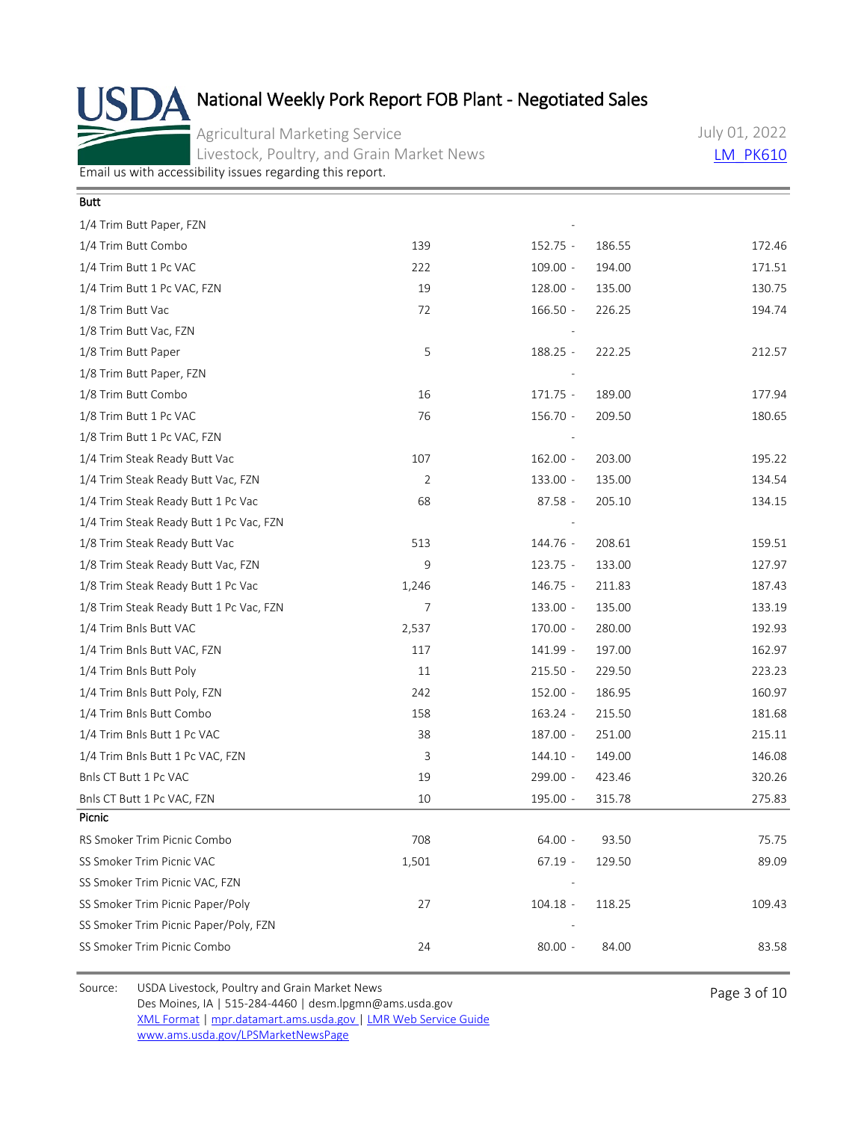Agricultural Marketing Service Livestock, Poultry, and Grain Market News July 01, 2022 **[LM\\_PK610](https://mpr.datamart.ams.usda.gov/ws/report/v1/pork/LM_PK610?filter=%7B%22filters%22:%5B%7B%22fieldName%22:%22Report%20date%22,%22operatorType%22:%22EQUAL%22,%22values%22:%5B%227/1/2022%22%5D%7D%5D%7D)** 

[Email us with accessibility issues regarding this report.](mailto:mpr.lpgmn@ams.usda.gov?subject=508%20Issue)

| Butt                                    |       |            |        |        |
|-----------------------------------------|-------|------------|--------|--------|
| 1/4 Trim Butt Paper, FZN                |       |            |        |        |
| 1/4 Trim Butt Combo                     | 139   | $152.75 -$ | 186.55 | 172.46 |
| 1/4 Trim Butt 1 Pc VAC                  | 222   | $109.00 -$ | 194.00 | 171.51 |
| 1/4 Trim Butt 1 Pc VAC, FZN             | 19    | $128.00 -$ | 135.00 | 130.75 |
| 1/8 Trim Butt Vac                       | 72    | $166.50 -$ | 226.25 | 194.74 |
| 1/8 Trim Butt Vac, FZN                  |       |            |        |        |
| 1/8 Trim Butt Paper                     | 5     | 188.25 -   | 222.25 | 212.57 |
| 1/8 Trim Butt Paper, FZN                |       |            |        |        |
| 1/8 Trim Butt Combo                     | 16    | $171.75 -$ | 189.00 | 177.94 |
| 1/8 Trim Butt 1 Pc VAC                  | 76    | $156.70 -$ | 209.50 | 180.65 |
| 1/8 Trim Butt 1 Pc VAC, FZN             |       |            |        |        |
| 1/4 Trim Steak Ready Butt Vac           | 107   | $162.00 -$ | 203.00 | 195.22 |
| 1/4 Trim Steak Ready Butt Vac, FZN      | 2     | 133.00 -   | 135.00 | 134.54 |
| 1/4 Trim Steak Ready Butt 1 Pc Vac      | 68    | $87.58 -$  | 205.10 | 134.15 |
| 1/4 Trim Steak Ready Butt 1 Pc Vac, FZN |       |            |        |        |
| 1/8 Trim Steak Ready Butt Vac           | 513   | 144.76 -   | 208.61 | 159.51 |
| 1/8 Trim Steak Ready Butt Vac, FZN      | 9     | $123.75 -$ | 133.00 | 127.97 |
| 1/8 Trim Steak Ready Butt 1 Pc Vac      | 1,246 | $146.75 -$ | 211.83 | 187.43 |
| 1/8 Trim Steak Ready Butt 1 Pc Vac, FZN | 7     | 133.00 -   | 135.00 | 133.19 |
| 1/4 Trim Bnls Butt VAC                  | 2,537 | 170.00 -   | 280.00 | 192.93 |
| 1/4 Trim Bnls Butt VAC, FZN             | 117   | 141.99 -   | 197.00 | 162.97 |
| 1/4 Trim Bnls Butt Poly                 | 11    | $215.50 -$ | 229.50 | 223.23 |
| 1/4 Trim Bnls Butt Poly, FZN            | 242   | $152.00 -$ | 186.95 | 160.97 |
| 1/4 Trim Bnls Butt Combo                | 158   | $163.24 -$ | 215.50 | 181.68 |
| 1/4 Trim Bnls Butt 1 Pc VAC             | 38    | 187.00 -   | 251.00 | 215.11 |
| 1/4 Trim Bnls Butt 1 Pc VAC, FZN        | 3     | $144.10 -$ | 149.00 | 146.08 |
| Bnls CT Butt 1 Pc VAC                   | 19    | 299.00 -   | 423.46 | 320.26 |
| Bnls CT Butt 1 Pc VAC, FZN              | 10    | 195.00 -   | 315.78 | 275.83 |
| Picnic                                  |       |            |        |        |
| RS Smoker Trim Picnic Combo             | 708   | $64.00 -$  | 93.50  | 75.75  |
| SS Smoker Trim Picnic VAC               | 1,501 | $67.19 -$  | 129.50 | 89.09  |
| SS Smoker Trim Picnic VAC, FZN          |       |            |        |        |
| SS Smoker Trim Picnic Paper/Poly        | 27    | $104.18 -$ | 118.25 | 109.43 |
| SS Smoker Trim Picnic Paper/Poly, FZN   |       |            |        |        |
| SS Smoker Trim Picnic Combo             | 24    | $80.00 -$  | 84.00  | 83.58  |

Source: USDA Livestock, Poultry and Grain Market News<br>
Page 3 of 10 Des Moines, IA | 515-284-4460 | desm.lpgmn@ams.usda.gov [XML Format](https://mpr.datamart.ams.usda.gov/ws/report/v1/pork/LM_PK610?filter=%7B%22filters%22:%5B%7B%22fieldName%22:%22Report%20date%22,%22operatorType%22:%22EQUAL%22,%22values%22:%5B%227/1/2022%22%5D%7D%5D%7D) | [mpr.datamart.ams.usda.gov](https://mpr.datamart.ams.usda.gov/) | [LMR Web Service Guide](https://www.marketnews.usda.gov/mnp/assets/ls/USDA-LMR-WebService-Client-User-Guide-v1_prod.pdf) [www.ams.usda.gov/LPSMarketNewsPage](https://www.ams.usda.gov/LPSMarketNewsPage)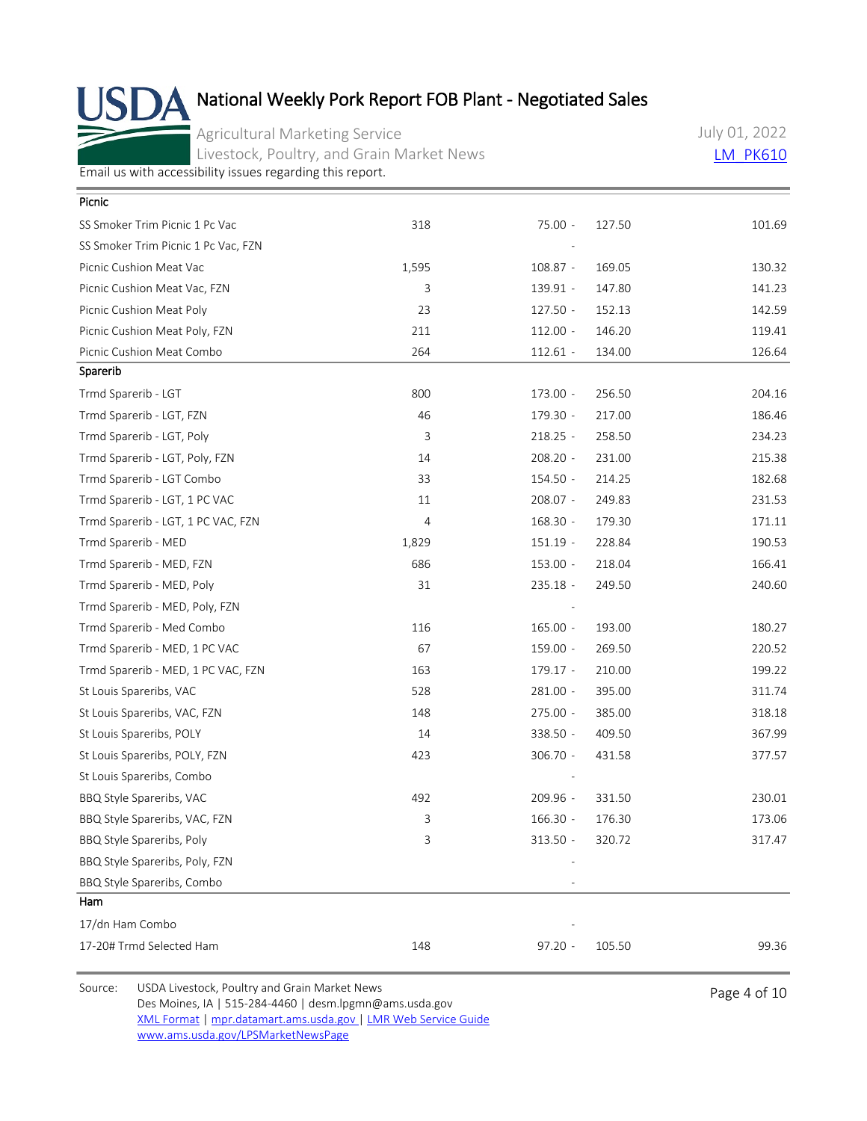Agricultural Marketing Service Livestock, Poultry, and Grain Market News July 01, 2022 **[LM\\_PK610](https://mpr.datamart.ams.usda.gov/ws/report/v1/pork/LM_PK610?filter=%7B%22filters%22:%5B%7B%22fieldName%22:%22Report%20date%22,%22operatorType%22:%22EQUAL%22,%22values%22:%5B%227/1/2022%22%5D%7D%5D%7D)** 

[Email us with accessibility issues regarding this report.](mailto:mpr.lpgmn@ams.usda.gov?subject=508%20Issue)

| Picnic                              |                |            |        |        |
|-------------------------------------|----------------|------------|--------|--------|
| SS Smoker Trim Picnic 1 Pc Vac      | 318            | 75.00 -    | 127.50 | 101.69 |
| SS Smoker Trim Picnic 1 Pc Vac, FZN |                |            |        |        |
| Picnic Cushion Meat Vac             | 1,595          | $108.87 -$ | 169.05 | 130.32 |
| Picnic Cushion Meat Vac, FZN        | 3              | 139.91 -   | 147.80 | 141.23 |
| Picnic Cushion Meat Poly            | 23             | $127.50 -$ | 152.13 | 142.59 |
| Picnic Cushion Meat Poly, FZN       | 211            | $112.00 -$ | 146.20 | 119.41 |
| Picnic Cushion Meat Combo           | 264            | $112.61 -$ | 134.00 | 126.64 |
| Sparerib                            |                |            |        |        |
| Trmd Sparerib - LGT                 | 800            | 173.00 -   | 256.50 | 204.16 |
| Trmd Sparerib - LGT, FZN            | 46             | 179.30 -   | 217.00 | 186.46 |
| Trmd Sparerib - LGT, Poly           | 3              | $218.25 -$ | 258.50 | 234.23 |
| Trmd Sparerib - LGT, Poly, FZN      | 14             | 208.20 -   | 231.00 | 215.38 |
| Trmd Sparerib - LGT Combo           | 33             | 154.50 -   | 214.25 | 182.68 |
| Trmd Sparerib - LGT, 1 PC VAC       | 11             | 208.07 -   | 249.83 | 231.53 |
| Trmd Sparerib - LGT, 1 PC VAC, FZN  | $\overline{4}$ | $168.30 -$ | 179.30 | 171.11 |
| Trmd Sparerib - MED                 | 1,829          | $151.19 -$ | 228.84 | 190.53 |
| Trmd Sparerib - MED, FZN            | 686            | 153.00 -   | 218.04 | 166.41 |
| Trmd Sparerib - MED, Poly           | 31             | 235.18 -   | 249.50 | 240.60 |
| Trmd Sparerib - MED, Poly, FZN      |                |            |        |        |
| Trmd Sparerib - Med Combo           | 116            | $165.00 -$ | 193.00 | 180.27 |
| Trmd Sparerib - MED, 1 PC VAC       | 67             | 159.00 -   | 269.50 | 220.52 |
| Trmd Sparerib - MED, 1 PC VAC, FZN  | 163            | $179.17 -$ | 210.00 | 199.22 |
| St Louis Spareribs, VAC             | 528            | $281.00 -$ | 395.00 | 311.74 |
| St Louis Spareribs, VAC, FZN        | 148            | $275.00 -$ | 385.00 | 318.18 |
| St Louis Spareribs, POLY            | 14             | 338.50 -   | 409.50 | 367.99 |
| St Louis Spareribs, POLY, FZN       | 423            | 306.70 -   | 431.58 | 377.57 |
| St Louis Spareribs, Combo           |                |            |        |        |
| BBQ Style Spareribs, VAC            | 492            | 209.96 -   | 331.50 | 230.01 |
| BBQ Style Spareribs, VAC, FZN       | 3              | $166.30 -$ | 176.30 | 173.06 |
| BBQ Style Spareribs, Poly           | 3              | 313.50 -   | 320.72 | 317.47 |
| BBQ Style Spareribs, Poly, FZN      |                |            |        |        |
| BBQ Style Spareribs, Combo          |                |            |        |        |
| Ham                                 |                |            |        |        |
| 17/dn Ham Combo                     |                |            |        |        |
| 17-20# Trmd Selected Ham            | 148            | $97.20 -$  | 105.50 | 99.36  |
|                                     |                |            |        |        |

Source: USDA Livestock, Poultry and Grain Market News<br>
Page 4 of 10 Des Moines, IA | 515-284-4460 | desm.lpgmn@ams.usda.gov [XML Format](https://mpr.datamart.ams.usda.gov/ws/report/v1/pork/LM_PK610?filter=%7B%22filters%22:%5B%7B%22fieldName%22:%22Report%20date%22,%22operatorType%22:%22EQUAL%22,%22values%22:%5B%227/1/2022%22%5D%7D%5D%7D) | [mpr.datamart.ams.usda.gov](https://mpr.datamart.ams.usda.gov/) | [LMR Web Service Guide](https://www.marketnews.usda.gov/mnp/assets/ls/USDA-LMR-WebService-Client-User-Guide-v1_prod.pdf) [www.ams.usda.gov/LPSMarketNewsPage](https://www.ams.usda.gov/LPSMarketNewsPage)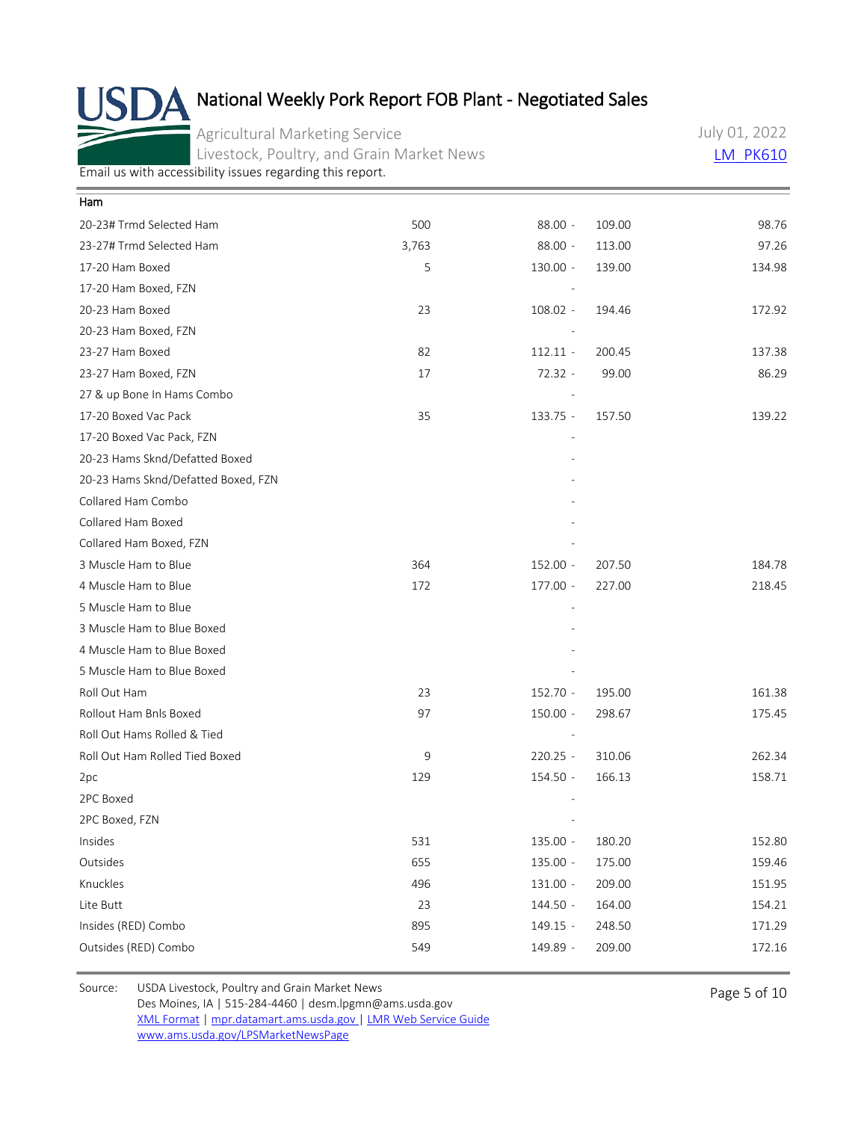Agricultural Marketing Service Livestock, Poultry, and Grain Market News July 01, 2022 **[LM\\_PK610](https://mpr.datamart.ams.usda.gov/ws/report/v1/pork/LM_PK610?filter=%7B%22filters%22:%5B%7B%22fieldName%22:%22Report%20date%22,%22operatorType%22:%22EQUAL%22,%22values%22:%5B%227/1/2022%22%5D%7D%5D%7D)** 

[Email us with accessibility issues regarding this report.](mailto:mpr.lpgmn@ams.usda.gov?subject=508%20Issue)

| Ham                                 |       |            |        |        |
|-------------------------------------|-------|------------|--------|--------|
| 20-23# Trmd Selected Ham            | 500   | $88.00 -$  | 109.00 | 98.76  |
| 23-27# Trmd Selected Ham            | 3,763 | $88.00 -$  | 113.00 | 97.26  |
| 17-20 Ham Boxed                     | 5     | 130.00 -   | 139.00 | 134.98 |
| 17-20 Ham Boxed, FZN                |       |            |        |        |
| 20-23 Ham Boxed                     | 23    | 108.02 -   | 194.46 | 172.92 |
| 20-23 Ham Boxed, FZN                |       |            |        |        |
| 23-27 Ham Boxed                     | 82    | $112.11 -$ | 200.45 | 137.38 |
| 23-27 Ham Boxed, FZN                | 17    | $72.32 -$  | 99.00  | 86.29  |
| 27 & up Bone In Hams Combo          |       |            |        |        |
| 17-20 Boxed Vac Pack                | 35    | $133.75 -$ | 157.50 | 139.22 |
| 17-20 Boxed Vac Pack, FZN           |       |            |        |        |
| 20-23 Hams Sknd/Defatted Boxed      |       |            |        |        |
| 20-23 Hams Sknd/Defatted Boxed, FZN |       |            |        |        |
| Collared Ham Combo                  |       |            |        |        |
| Collared Ham Boxed                  |       |            |        |        |
| Collared Ham Boxed, FZN             |       |            |        |        |
| 3 Muscle Ham to Blue                | 364   | $152.00 -$ | 207.50 | 184.78 |
| 4 Muscle Ham to Blue                | 172   | $177.00 -$ | 227.00 | 218.45 |
| 5 Muscle Ham to Blue                |       |            |        |        |
| 3 Muscle Ham to Blue Boxed          |       |            |        |        |
| 4 Muscle Ham to Blue Boxed          |       |            |        |        |
| 5 Muscle Ham to Blue Boxed          |       |            |        |        |
| Roll Out Ham                        | 23    | 152.70 -   | 195.00 | 161.38 |
| Rollout Ham Bnls Boxed              | 97    | $150.00 -$ | 298.67 | 175.45 |
| Roll Out Hams Rolled & Tied         |       |            |        |        |
| Roll Out Ham Rolled Tied Boxed      | 9     | $220.25 -$ | 310.06 | 262.34 |
| 2pc                                 | 129   | 154.50 -   | 166.13 | 158.71 |
| 2PC Boxed                           |       |            |        |        |
| 2PC Boxed, FZN                      |       |            |        |        |
| Insides                             | 531   | 135.00 -   | 180.20 | 152.80 |
| Outsides                            | 655   | 135.00 -   | 175.00 | 159.46 |
| Knuckles                            | 496   | $131.00 -$ | 209.00 | 151.95 |
| Lite Butt                           | 23    | 144.50 -   | 164.00 | 154.21 |
| Insides (RED) Combo                 | 895   | 149.15 -   | 248.50 | 171.29 |
| Outsides (RED) Combo                | 549   | 149.89 -   | 209.00 | 172.16 |
|                                     |       |            |        |        |

Source: USDA Livestock, Poultry and Grain Market News<br>
Page 5 of 10 Des Moines, IA | 515-284-4460 | desm.lpgmn@ams.usda.gov [XML Format](https://mpr.datamart.ams.usda.gov/ws/report/v1/pork/LM_PK610?filter=%7B%22filters%22:%5B%7B%22fieldName%22:%22Report%20date%22,%22operatorType%22:%22EQUAL%22,%22values%22:%5B%227/1/2022%22%5D%7D%5D%7D) | [mpr.datamart.ams.usda.gov](https://mpr.datamart.ams.usda.gov/) | [LMR Web Service Guide](https://www.marketnews.usda.gov/mnp/assets/ls/USDA-LMR-WebService-Client-User-Guide-v1_prod.pdf) [www.ams.usda.gov/LPSMarketNewsPage](https://www.ams.usda.gov/LPSMarketNewsPage)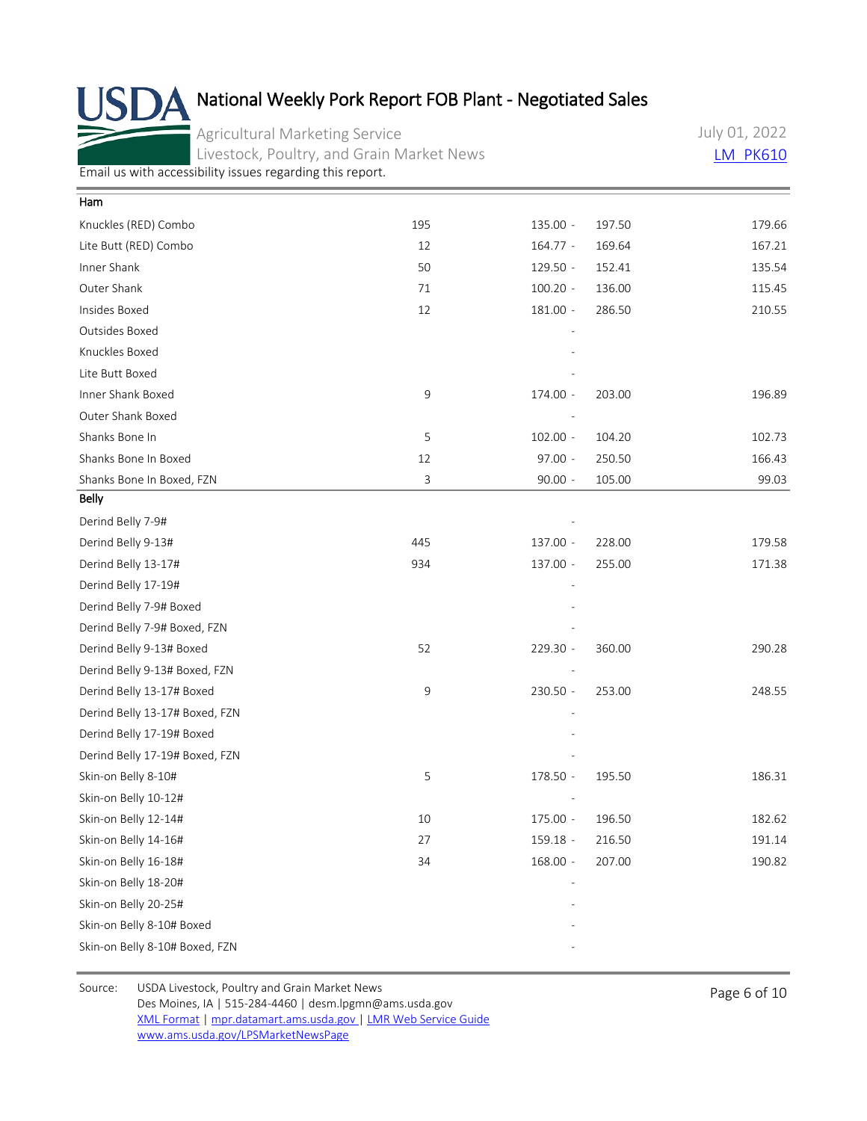Agricultural Marketing Service Livestock, Poultry, and Grain Market News July 01, 2022 **[LM\\_PK610](https://mpr.datamart.ams.usda.gov/ws/report/v1/pork/LM_PK610?filter=%7B%22filters%22:%5B%7B%22fieldName%22:%22Report%20date%22,%22operatorType%22:%22EQUAL%22,%22values%22:%5B%227/1/2022%22%5D%7D%5D%7D)** 

[Email us with accessibility issues regarding this report.](mailto:mpr.lpgmn@ams.usda.gov?subject=508%20Issue)

| Ham                            |     |            |        |        |
|--------------------------------|-----|------------|--------|--------|
| Knuckles (RED) Combo           | 195 | 135.00 -   | 197.50 | 179.66 |
| Lite Butt (RED) Combo          | 12  | $164.77 -$ | 169.64 | 167.21 |
| Inner Shank                    | 50  | 129.50 -   | 152.41 | 135.54 |
| Outer Shank                    | 71  | $100.20 -$ | 136.00 | 115.45 |
| Insides Boxed                  | 12  | $181.00 -$ | 286.50 | 210.55 |
| Outsides Boxed                 |     |            |        |        |
| Knuckles Boxed                 |     |            |        |        |
| Lite Butt Boxed                |     |            |        |        |
| Inner Shank Boxed              | 9   | 174.00 -   | 203.00 | 196.89 |
| Outer Shank Boxed              |     |            |        |        |
| Shanks Bone In                 | 5   | $102.00 -$ | 104.20 | 102.73 |
| Shanks Bone In Boxed           | 12  | 97.00 -    | 250.50 | 166.43 |
| Shanks Bone In Boxed, FZN      | 3   | $90.00 -$  | 105.00 | 99.03  |
| <b>Belly</b>                   |     |            |        |        |
| Derind Belly 7-9#              |     |            |        |        |
| Derind Belly 9-13#             | 445 | 137.00 -   | 228.00 | 179.58 |
| Derind Belly 13-17#            | 934 | 137.00 -   | 255.00 | 171.38 |
| Derind Belly 17-19#            |     |            |        |        |
| Derind Belly 7-9# Boxed        |     |            |        |        |
| Derind Belly 7-9# Boxed, FZN   |     |            |        |        |
| Derind Belly 9-13# Boxed       | 52  | 229.30 -   | 360.00 | 290.28 |
| Derind Belly 9-13# Boxed, FZN  |     |            |        |        |
| Derind Belly 13-17# Boxed      | 9   | 230.50 -   | 253.00 | 248.55 |
| Derind Belly 13-17# Boxed, FZN |     |            |        |        |
| Derind Belly 17-19# Boxed      |     |            |        |        |
| Derind Belly 17-19# Boxed, FZN |     |            |        |        |
| Skin-on Belly 8-10#            | 5   | 178.50 -   | 195.50 | 186.31 |
| Skin-on Belly 10-12#           |     |            |        |        |
| Skin-on Belly 12-14#           | 10  | 175.00 -   | 196.50 | 182.62 |
| Skin-on Belly 14-16#           | 27  | 159.18 -   | 216.50 | 191.14 |
| Skin-on Belly 16-18#           | 34  | $168.00 -$ | 207.00 | 190.82 |
| Skin-on Belly 18-20#           |     |            |        |        |
| Skin-on Belly 20-25#           |     |            |        |        |
| Skin-on Belly 8-10# Boxed      |     |            |        |        |
| Skin-on Belly 8-10# Boxed, FZN |     |            |        |        |
|                                |     |            |        |        |

Source: USDA Livestock, Poultry and Grain Market News<br>
Page 6 of 10 Des Moines, IA | 515-284-4460 | desm.lpgmn@ams.usda.gov [XML Format](https://mpr.datamart.ams.usda.gov/ws/report/v1/pork/LM_PK610?filter=%7B%22filters%22:%5B%7B%22fieldName%22:%22Report%20date%22,%22operatorType%22:%22EQUAL%22,%22values%22:%5B%227/1/2022%22%5D%7D%5D%7D) | [mpr.datamart.ams.usda.gov](https://mpr.datamart.ams.usda.gov/) | [LMR Web Service Guide](https://www.marketnews.usda.gov/mnp/assets/ls/USDA-LMR-WebService-Client-User-Guide-v1_prod.pdf) [www.ams.usda.gov/LPSMarketNewsPage](https://www.ams.usda.gov/LPSMarketNewsPage)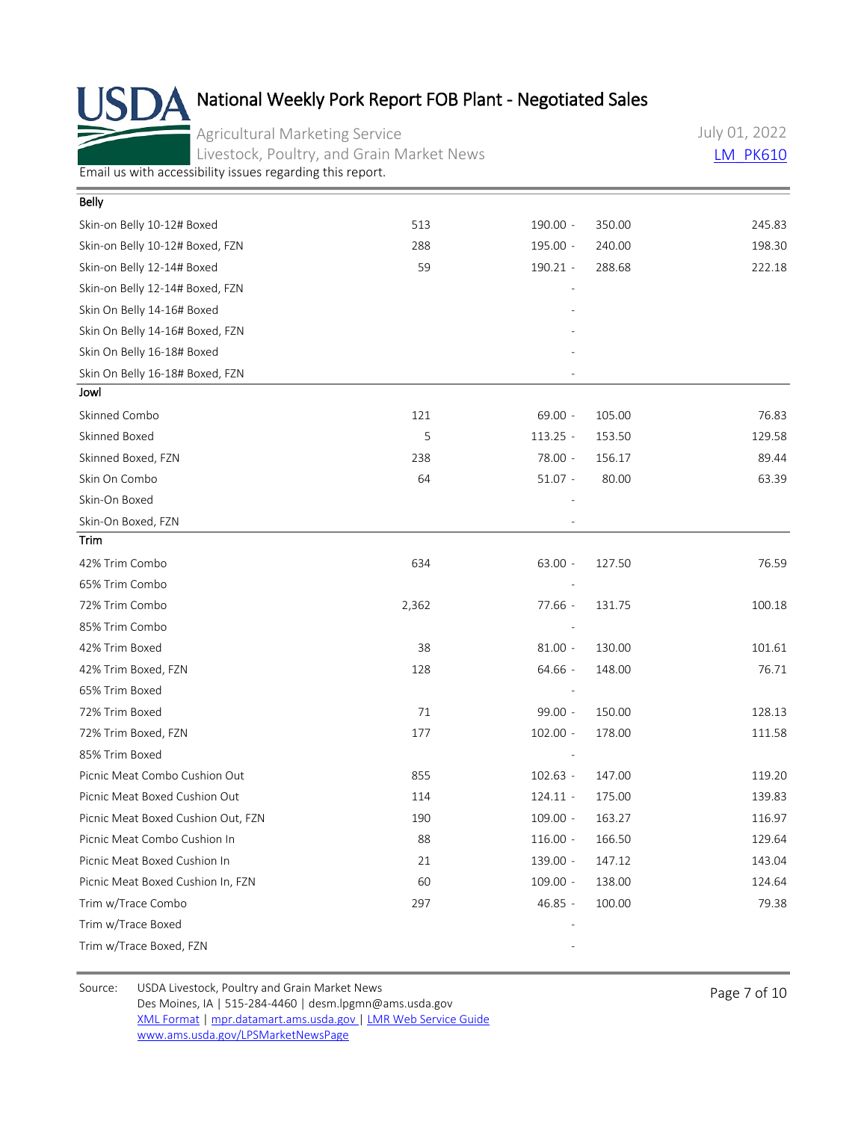Agricultural Marketing Service Livestock, Poultry, and Grain Market News July 01, 2022 **[LM\\_PK610](https://mpr.datamart.ams.usda.gov/ws/report/v1/pork/LM_PK610?filter=%7B%22filters%22:%5B%7B%22fieldName%22:%22Report%20date%22,%22operatorType%22:%22EQUAL%22,%22values%22:%5B%227/1/2022%22%5D%7D%5D%7D)** 

[Email us with accessibility issues regarding this report.](mailto:mpr.lpgmn@ams.usda.gov?subject=508%20Issue)

| Belly                              |       |            |        |        |
|------------------------------------|-------|------------|--------|--------|
| Skin-on Belly 10-12# Boxed         | 513   | $190.00 -$ | 350.00 | 245.83 |
| Skin-on Belly 10-12# Boxed, FZN    | 288   | 195.00 -   | 240.00 | 198.30 |
| Skin-on Belly 12-14# Boxed         | 59    | $190.21 -$ | 288.68 | 222.18 |
| Skin-on Belly 12-14# Boxed, FZN    |       |            |        |        |
| Skin On Belly 14-16# Boxed         |       |            |        |        |
| Skin On Belly 14-16# Boxed, FZN    |       |            |        |        |
| Skin On Belly 16-18# Boxed         |       |            |        |        |
| Skin On Belly 16-18# Boxed, FZN    |       |            |        |        |
| Jowl                               |       |            |        |        |
| Skinned Combo                      | 121   | $69.00 -$  | 105.00 | 76.83  |
| Skinned Boxed                      | 5     | $113.25 -$ | 153.50 | 129.58 |
| Skinned Boxed, FZN                 | 238   | 78.00 -    | 156.17 | 89.44  |
| Skin On Combo                      | 64    | $51.07 -$  | 80.00  | 63.39  |
| Skin-On Boxed                      |       |            |        |        |
| Skin-On Boxed, FZN                 |       |            |        |        |
| Trim                               |       |            |        |        |
| 42% Trim Combo                     | 634   | $63.00 -$  | 127.50 | 76.59  |
| 65% Trim Combo                     |       |            |        |        |
| 72% Trim Combo                     | 2,362 | 77.66 -    | 131.75 | 100.18 |
| 85% Trim Combo                     |       |            |        |        |
| 42% Trim Boxed                     | 38    | $81.00 -$  | 130.00 | 101.61 |
| 42% Trim Boxed, FZN                | 128   | 64.66 -    | 148.00 | 76.71  |
| 65% Trim Boxed                     |       |            |        |        |
| 72% Trim Boxed                     | 71    | 99.00 -    | 150.00 | 128.13 |
| 72% Trim Boxed, FZN                | 177   | $102.00 -$ | 178.00 | 111.58 |
| 85% Trim Boxed                     |       |            |        |        |
| Picnic Meat Combo Cushion Out      | 855   | $102.63 -$ | 147.00 | 119.20 |
| Picnic Meat Boxed Cushion Out      | 114   | $124.11 -$ | 175.00 | 139.83 |
| Picnic Meat Boxed Cushion Out, FZN | 190   | $109.00 -$ | 163.27 | 116.97 |
| Picnic Meat Combo Cushion In       | 88    | $116.00 -$ | 166.50 | 129.64 |
| Picnic Meat Boxed Cushion In       | 21    | 139.00 -   | 147.12 | 143.04 |
| Picnic Meat Boxed Cushion In, FZN  | 60    | $109.00 -$ | 138.00 | 124.64 |
| Trim w/Trace Combo                 | 297   | 46.85 -    | 100.00 | 79.38  |
| Trim w/Trace Boxed                 |       |            |        |        |
| Trim w/Trace Boxed, FZN            |       |            |        |        |

Source: USDA Livestock, Poultry and Grain Market News<br>
Page 7 of 10 Des Moines, IA | 515-284-4460 | desm.lpgmn@ams.usda.gov [XML Format](https://mpr.datamart.ams.usda.gov/ws/report/v1/pork/LM_PK610?filter=%7B%22filters%22:%5B%7B%22fieldName%22:%22Report%20date%22,%22operatorType%22:%22EQUAL%22,%22values%22:%5B%227/1/2022%22%5D%7D%5D%7D) | [mpr.datamart.ams.usda.gov](https://mpr.datamart.ams.usda.gov/) | [LMR Web Service Guide](https://www.marketnews.usda.gov/mnp/assets/ls/USDA-LMR-WebService-Client-User-Guide-v1_prod.pdf) [www.ams.usda.gov/LPSMarketNewsPage](https://www.ams.usda.gov/LPSMarketNewsPage)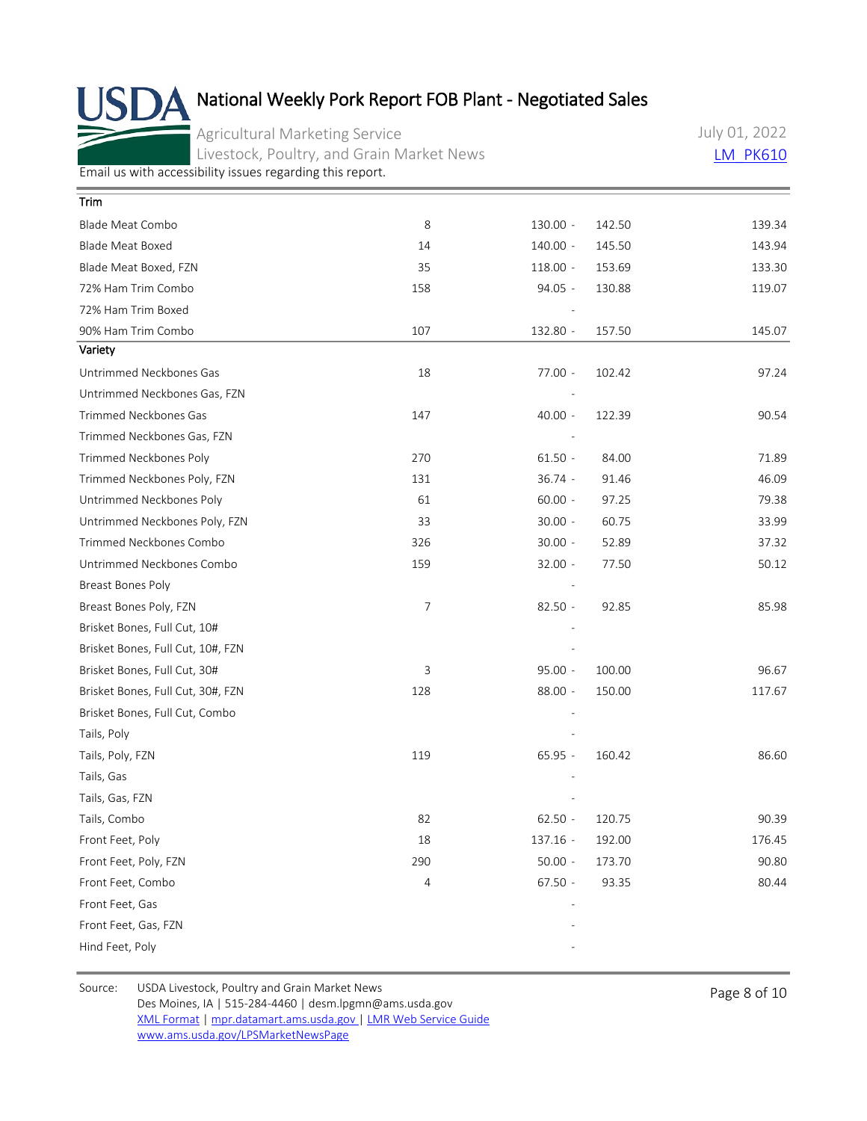Agricultural Marketing Service Livestock, Poultry, and Grain Market News July 01, 2022 **[LM\\_PK610](https://mpr.datamart.ams.usda.gov/ws/report/v1/pork/LM_PK610?filter=%7B%22filters%22:%5B%7B%22fieldName%22:%22Report%20date%22,%22operatorType%22:%22EQUAL%22,%22values%22:%5B%227/1/2022%22%5D%7D%5D%7D)** 

[Email us with accessibility issues regarding this report.](mailto:mpr.lpgmn@ams.usda.gov?subject=508%20Issue)

| Trim                              |     |            |        |        |
|-----------------------------------|-----|------------|--------|--------|
| Blade Meat Combo                  | 8   | $130.00 -$ | 142.50 | 139.34 |
| <b>Blade Meat Boxed</b>           | 14  | $140.00 -$ | 145.50 | 143.94 |
| Blade Meat Boxed, FZN             | 35  | $118.00 -$ | 153.69 | 133.30 |
| 72% Ham Trim Combo                | 158 | $94.05 -$  | 130.88 | 119.07 |
| 72% Ham Trim Boxed                |     |            |        |        |
| 90% Ham Trim Combo                | 107 | 132.80 -   | 157.50 | 145.07 |
| Variety                           |     |            |        |        |
| Untrimmed Neckbones Gas           | 18  | 77.00 -    | 102.42 | 97.24  |
| Untrimmed Neckbones Gas, FZN      |     |            |        |        |
| Trimmed Neckbones Gas             | 147 | $40.00 -$  | 122.39 | 90.54  |
| Trimmed Neckbones Gas, FZN        |     |            |        |        |
| Trimmed Neckbones Poly            | 270 | $61.50 -$  | 84.00  | 71.89  |
| Trimmed Neckbones Poly, FZN       | 131 | $36.74 -$  | 91.46  | 46.09  |
| Untrimmed Neckbones Poly          | 61  | $60.00 -$  | 97.25  | 79.38  |
| Untrimmed Neckbones Poly, FZN     | 33  | $30.00 -$  | 60.75  | 33.99  |
| Trimmed Neckbones Combo           | 326 | $30.00 -$  | 52.89  | 37.32  |
| Untrimmed Neckbones Combo         | 159 | $32.00 -$  | 77.50  | 50.12  |
| Breast Bones Poly                 |     |            |        |        |
| Breast Bones Poly, FZN            | 7   | $82.50 -$  | 92.85  | 85.98  |
| Brisket Bones, Full Cut, 10#      |     |            |        |        |
| Brisket Bones, Full Cut, 10#, FZN |     |            |        |        |
| Brisket Bones, Full Cut, 30#      | 3   | $95.00 -$  | 100.00 | 96.67  |
| Brisket Bones, Full Cut, 30#, FZN | 128 | $88.00 -$  | 150.00 | 117.67 |
| Brisket Bones, Full Cut, Combo    |     |            |        |        |
| Tails, Poly                       |     |            |        |        |
| Tails, Poly, FZN                  | 119 | $65.95 -$  | 160.42 | 86.60  |
| Tails, Gas                        |     |            |        |        |
| Tails, Gas, FZN                   |     |            |        |        |
| Tails, Combo                      | 82  | $62.50 -$  | 120.75 | 90.39  |
| Front Feet, Poly                  | 18  | 137.16 -   | 192.00 | 176.45 |
| Front Feet, Poly, FZN             | 290 | $50.00 -$  | 173.70 | 90.80  |
| Front Feet, Combo                 | 4   | $67.50 -$  | 93.35  | 80.44  |
| Front Feet, Gas                   |     |            |        |        |
| Front Feet, Gas, FZN              |     |            |        |        |
| Hind Feet, Poly                   |     |            |        |        |

Source: USDA Livestock, Poultry and Grain Market News<br>
Page 8 of 10 Des Moines, IA | 515-284-4460 | desm.lpgmn@ams.usda.gov [XML Format](https://mpr.datamart.ams.usda.gov/ws/report/v1/pork/LM_PK610?filter=%7B%22filters%22:%5B%7B%22fieldName%22:%22Report%20date%22,%22operatorType%22:%22EQUAL%22,%22values%22:%5B%227/1/2022%22%5D%7D%5D%7D) | [mpr.datamart.ams.usda.gov](https://mpr.datamart.ams.usda.gov/) | [LMR Web Service Guide](https://www.marketnews.usda.gov/mnp/assets/ls/USDA-LMR-WebService-Client-User-Guide-v1_prod.pdf) [www.ams.usda.gov/LPSMarketNewsPage](https://www.ams.usda.gov/LPSMarketNewsPage)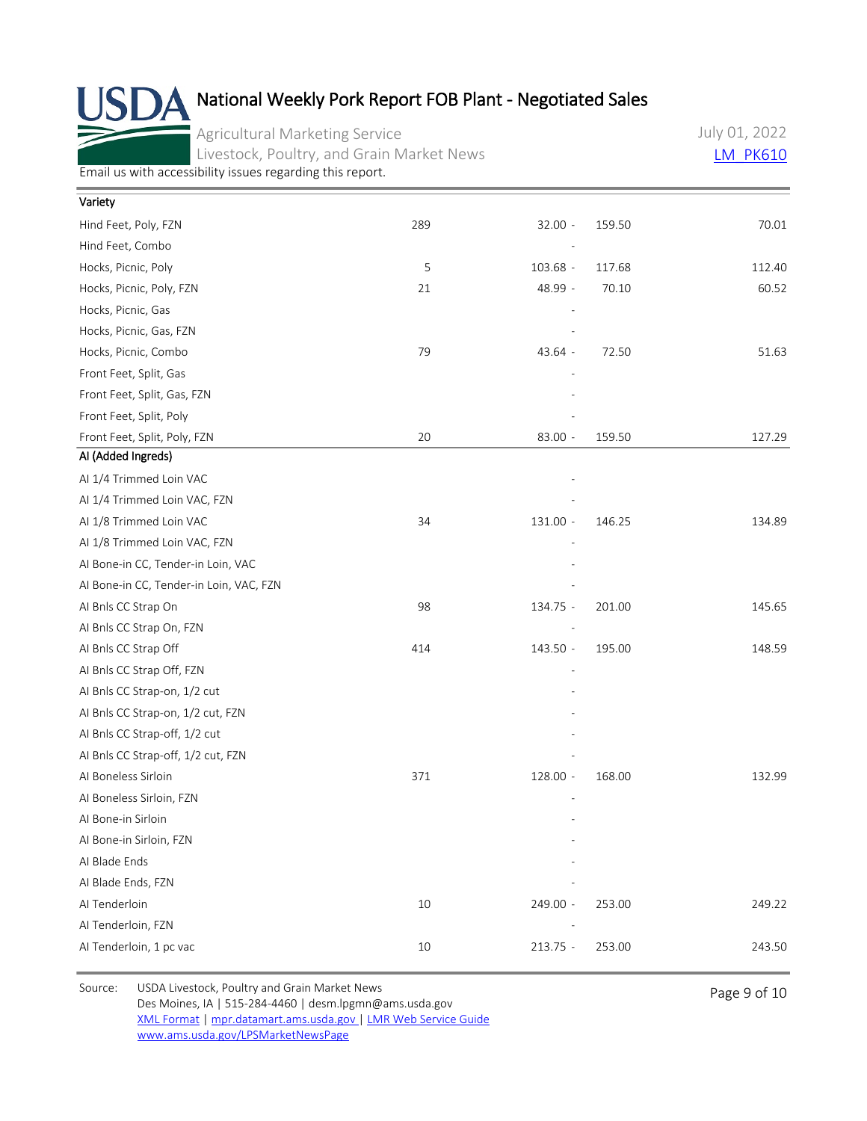Agricultural Marketing Service Livestock, Poultry, and Grain Market News July 01, 2022 **[LM\\_PK610](https://mpr.datamart.ams.usda.gov/ws/report/v1/pork/LM_PK610?filter=%7B%22filters%22:%5B%7B%22fieldName%22:%22Report%20date%22,%22operatorType%22:%22EQUAL%22,%22values%22:%5B%227/1/2022%22%5D%7D%5D%7D)** 

[Email us with accessibility issues regarding this report.](mailto:mpr.lpgmn@ams.usda.gov?subject=508%20Issue)

| Variety                                 |        |            |        |        |
|-----------------------------------------|--------|------------|--------|--------|
| Hind Feet, Poly, FZN                    | 289    | $32.00 -$  | 159.50 | 70.01  |
| Hind Feet, Combo                        |        |            |        |        |
| Hocks, Picnic, Poly                     | 5      | $103.68 -$ | 117.68 | 112.40 |
| Hocks, Picnic, Poly, FZN                | 21     | 48.99 -    | 70.10  | 60.52  |
| Hocks, Picnic, Gas                      |        |            |        |        |
| Hocks, Picnic, Gas, FZN                 |        |            |        |        |
| Hocks, Picnic, Combo                    | 79     | 43.64 -    | 72.50  | 51.63  |
| Front Feet, Split, Gas                  |        |            |        |        |
| Front Feet, Split, Gas, FZN             |        |            |        |        |
| Front Feet, Split, Poly                 |        |            |        |        |
| Front Feet, Split, Poly, FZN            | 20     | $83.00 -$  | 159.50 | 127.29 |
| Al (Added Ingreds)                      |        |            |        |        |
| Al 1/4 Trimmed Loin VAC                 |        |            |        |        |
| AI 1/4 Trimmed Loin VAC, FZN            |        |            |        |        |
| Al 1/8 Trimmed Loin VAC                 | 34     | 131.00 -   | 146.25 | 134.89 |
| AI 1/8 Trimmed Loin VAC, FZN            |        |            |        |        |
| Al Bone-in CC, Tender-in Loin, VAC      |        |            |        |        |
| Al Bone-in CC, Tender-in Loin, VAC, FZN |        |            |        |        |
| Al Bnls CC Strap On                     | 98     | 134.75 -   | 201.00 | 145.65 |
| AI Bnls CC Strap On, FZN                |        |            |        |        |
| AI Bnls CC Strap Off                    | 414    | 143.50 -   | 195.00 | 148.59 |
| AI Bnls CC Strap Off, FZN               |        |            |        |        |
| Al Bnls CC Strap-on, 1/2 cut            |        |            |        |        |
| AI Bnls CC Strap-on, 1/2 cut, FZN       |        |            |        |        |
| Al Bnls CC Strap-off, 1/2 cut           |        |            |        |        |
| AI Bnls CC Strap-off, 1/2 cut, FZN      |        |            |        |        |
| Al Boneless Sirloin                     | 371    | 128.00 -   | 168.00 | 132.99 |
| AI Boneless Sirloin, FZN                |        |            |        |        |
| Al Bone-in Sirloin                      |        |            |        |        |
| Al Bone-in Sirloin, FZN                 |        |            |        |        |
| AI Blade Ends                           |        |            |        |        |
| AI Blade Ends, FZN                      |        |            |        |        |
| Al Tenderloin                           | 10     | 249.00 -   | 253.00 | 249.22 |
| AI Tenderloin, FZN                      |        |            |        |        |
| Al Tenderloin, 1 pc vac                 | $10\,$ | $213.75 -$ | 253.00 | 243.50 |
|                                         |        |            |        |        |

Source: USDA Livestock, Poultry and Grain Market News<br>
Page 9 of 10 Des Moines, IA | 515-284-4460 | desm.lpgmn@ams.usda.gov [XML Format](https://mpr.datamart.ams.usda.gov/ws/report/v1/pork/LM_PK610?filter=%7B%22filters%22:%5B%7B%22fieldName%22:%22Report%20date%22,%22operatorType%22:%22EQUAL%22,%22values%22:%5B%227/1/2022%22%5D%7D%5D%7D) | [mpr.datamart.ams.usda.gov](https://mpr.datamart.ams.usda.gov/) | [LMR Web Service Guide](https://www.marketnews.usda.gov/mnp/assets/ls/USDA-LMR-WebService-Client-User-Guide-v1_prod.pdf) [www.ams.usda.gov/LPSMarketNewsPage](https://www.ams.usda.gov/LPSMarketNewsPage)